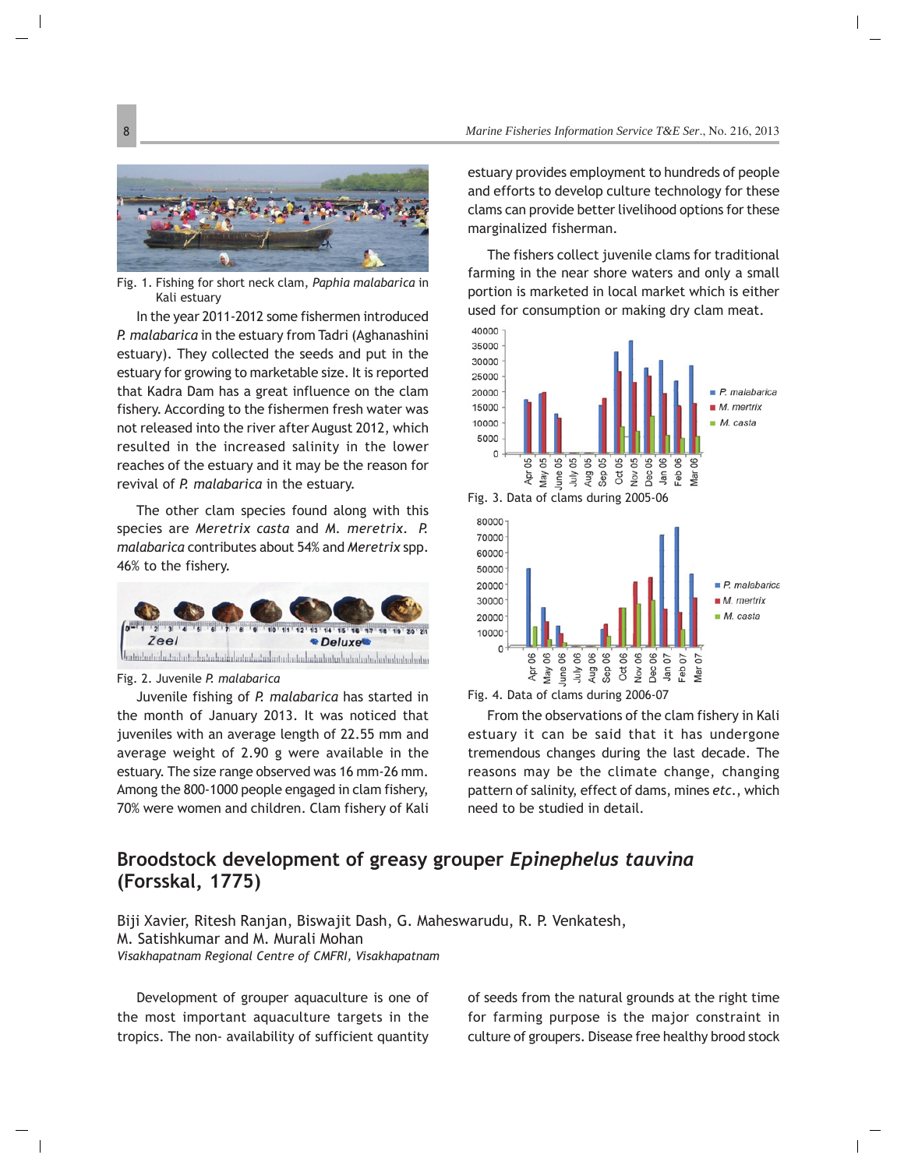## **Broodstock development of greasy grouper** *Epinephelus tauvina* **(Forsskal, 1775)**

Biji Xavier, Ritesh Ranjan, Biswajit Dash, G. Maheswarudu, R. P. Venkatesh, M. Satishkumar and M. Murali Mohan *Visakhapatnam Regional Centre of CMFRI, Visakhapatnam*

Development of grouper aquaculture is one of the most important aquaculture targets in the tropics. The non- availability of sufficient quantity of seeds from the natural grounds at the right time for farming purpose is the major constraint in culture of groupers. Disease free healthy brood stock